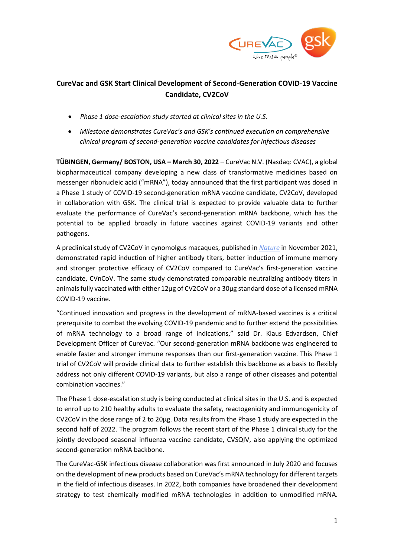

# **CureVac and GSK Start Clinical Development of Second-Generation COVID-19 Vaccine Candidate, CV2CoV**

- *Phase 1 dose-escalation study started at clinical sites in the U.S.*
- *Milestone demonstrates CureVac's and GSK's continued execution on comprehensive clinical program of second-generation vaccine candidates for infectious diseases*

**TÜBINGEN, Germany/ BOSTON, USA – March 30, 2022** – CureVac N.V. (Nasdaq: CVAC), a global biopharmaceutical company developing a new class of transformative medicines based on messenger ribonucleic acid ("mRNA"), today announced that the first participant was dosed in a Phase 1 study of COVID-19 second-generation mRNA vaccine candidate, CV2CoV, developed in collaboration with GSK. The clinical trial is expected to provide valuable data to further evaluate the performance of CureVac's second-generation mRNA backbone, which has the potential to be applied broadly in future vaccines against COVID-19 variants and other pathogens.

A preclinical study of CV2CoV in cynomolgus macaques, published in *[Nature](https://www.curevac.com/en/2021/11/18/curevac-publishes-in-nature-preclinical-data-of-second-generation-covid-19-candidate-cv2cov-demonstrating-comparable-antibody-levels-to-licensed-mrna-vaccine/)* in November 2021, demonstrated rapid induction of higher antibody titers, better induction of immune memory and stronger protective efficacy of CV2CoV compared to CureVac's first-generation vaccine candidate, CVnCoV. The same study demonstrated comparable neutralizing antibody titers in animals fully vaccinated with either 12µg of CV2CoV or a 30µg standard dose of a licensed mRNA COVID-19 vaccine.

"Continued innovation and progress in the development of mRNA-based vaccines is a critical prerequisite to combat the evolving COVID-19 pandemic and to further extend the possibilities of mRNA technology to a broad range of indications," said Dr. Klaus Edvardsen, Chief Development Officer of CureVac. "Our second-generation mRNA backbone was engineered to enable faster and stronger immune responses than our first-generation vaccine. This Phase 1 trial of CV2CoV will provide clinical data to further establish this backbone as a basis to flexibly address not only different COVID-19 variants, but also a range of other diseases and potential combination vaccines."

The Phase 1 dose-escalation study is being conducted at clinical sites in the U.S. and is expected to enroll up to 210 healthy adults to evaluate the safety, reactogenicity and immunogenicity of CV2CoV in the dose range of 2 to 20µg. Data results from the Phase 1 study are expected in the second half of 2022. The program follows the recent start of the Phase 1 clinical study for the jointly developed seasonal influenza vaccine candidate, CVSQIV, also applying the optimized second-generation mRNA backbone.

The CureVac-GSK infectious disease collaboration was first announced in July 2020 and focuses on the development of new products based on CureVac's mRNA technology for different targets in the field of infectious diseases. In 2022, both companies have broadened their development strategy to test chemically modified mRNA technologies in addition to unmodified mRNA.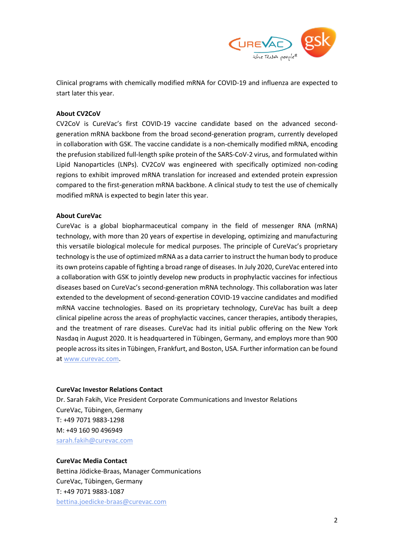

Clinical programs with chemically modified mRNA for COVID-19 and influenza are expected to start later this year.

## **About CV2CoV**

CV2CoV is CureVac's first COVID-19 vaccine candidate based on the advanced secondgeneration mRNA backbone from the broad second-generation program, currently developed in collaboration with GSK. The vaccine candidate is a non-chemically modified mRNA, encoding the prefusion stabilized full-length spike protein of the SARS-CoV-2 virus, and formulated within Lipid Nanoparticles (LNPs). CV2CoV was engineered with specifically optimized non-coding regions to exhibit improved mRNA translation for increased and extended protein expression compared to the first-generation mRNA backbone. A clinical study to test the use of chemically modified mRNA is expected to begin later this year.

# **About CureVac**

CureVac is a global biopharmaceutical company in the field of messenger RNA (mRNA) technology, with more than 20 years of expertise in developing, optimizing and manufacturing this versatile biological molecule for medical purposes. The principle of CureVac's proprietary technology is the use of optimized mRNA as a data carrier to instruct the human body to produce its own proteins capable of fighting a broad range of diseases. In July 2020, CureVac entered into a collaboration with GSK to jointly develop new products in prophylactic vaccines for infectious diseases based on CureVac's second-generation mRNA technology. This collaboration was later extended to the development of second-generation COVID-19 vaccine candidates and modified mRNA vaccine technologies. Based on its proprietary technology, CureVac has built a deep clinical pipeline across the areas of prophylactic vaccines, cancer therapies, antibody therapies, and the treatment of rare diseases. CureVac had its initial public offering on the New York Nasdaq in August 2020. It is headquartered in Tübingen, Germany, and employs more than 900 people acrossits sites in Tübingen, Frankfurt, and Boston, USA. Further information can be found at [www.curevac.com.](http://www.curevac.com/)

### **CureVac Investor Relations Contact**

Dr. Sarah Fakih, Vice President Corporate Communications and Investor Relations CureVac, Tübingen, Germany T: +49 7071 9883-1298 M: +49 160 90 496949 [sarah.fakih@curevac.com](mailto:sarah.fakih@curevac.com)

### **CureVac Media Contact**

Bettina Jödicke-Braas, Manager Communications CureVac, Tübingen, Germany T: +49 7071 9883-1087 [bettina.joedicke-braas@curevac.com](mailto:bettina.joedicke-braas@curevac.com)